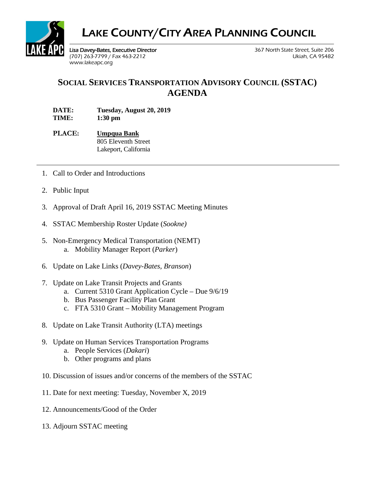

## LAKE COUNTY/CITY AREA PLANNING COUNCIL

Lisa Davey-Bates, Executive Director 367 North State Street, Suite 206 (707) 263-7799 / Fax 463-2212 Ukiah, CA 95482 [www.lakeapc.org](http://www.lakeapc.org/)

## **SOCIAL SERVICES TRANSPORTATION ADVISORY COUNCIL (SSTAC) AGENDA**

**DATE: Tuesday, August 20, 2019 TIME: 1:30 pm** 

**PLACE: Umpqua Bank** 805 Eleventh Street Lakeport, California

- 1. Call to Order and Introductions
- 2. Public Input
- 3. Approval of Draft April 16, 2019 SSTAC Meeting Minutes
- 4. SSTAC Membership Roster Update (*Sookne)*
- 5. Non-Emergency Medical Transportation (NEMT) a. Mobility Manager Report (*Parker*)
- 6. Update on Lake Links (*Davey-Bates, Branson*)
- 7. Update on Lake Transit Projects and Grants
	- a. Current 5310 Grant Application Cycle Due 9/6/19
	- b. Bus Passenger Facility Plan Grant
	- c. FTA 5310 Grant Mobility Management Program
- 8. Update on Lake Transit Authority (LTA) meetings
- 9. Update on Human Services Transportation Programs
	- a. People Services (*Dakari*)
	- b. Other programs and plans
- 10. Discussion of issues and/or concerns of the members of the SSTAC
- 11. Date for next meeting: Tuesday, November X, 2019
- 12. Announcements/Good of the Order
- 13. Adjourn SSTAC meeting